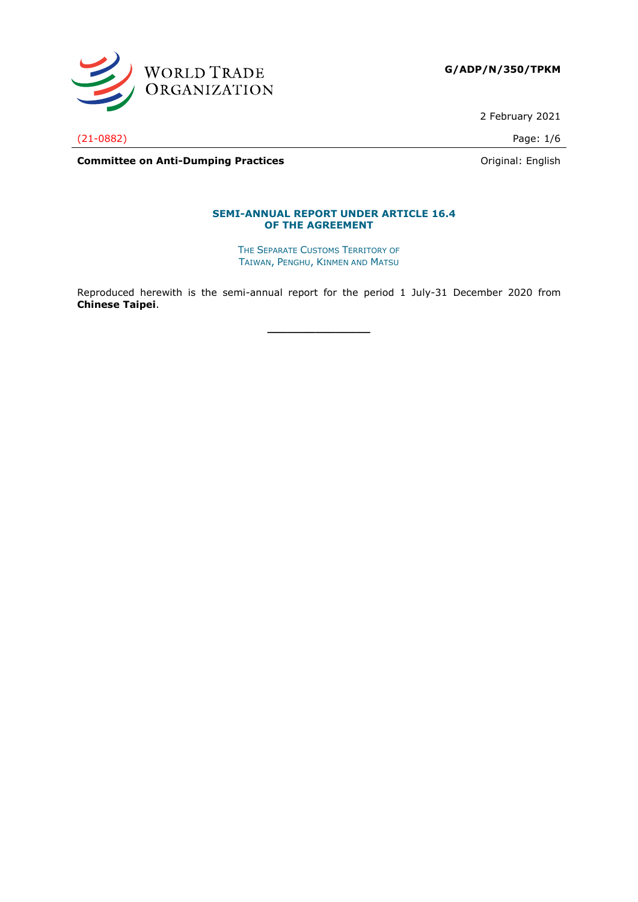

2 February 2021

(21-0882) Page: 1/6

**Committee on Anti-Dumping Practices Committee on Anti-Dumping Practices Committee on Anti-Dumping Practices** 

#### **SEMI-ANNUAL REPORT UNDER ARTICLE 16.4 OF THE AGREEMENT**

THE SEPARATE CUSTOMS TERRITORY OF TAIWAN, PENGHU, KINMEN AND MATSU

Reproduced herewith is the semi-annual report for the period 1 July-31 December 2020 from **Chinese Taipei**.

**\_\_\_\_\_\_\_\_\_\_\_\_\_\_\_**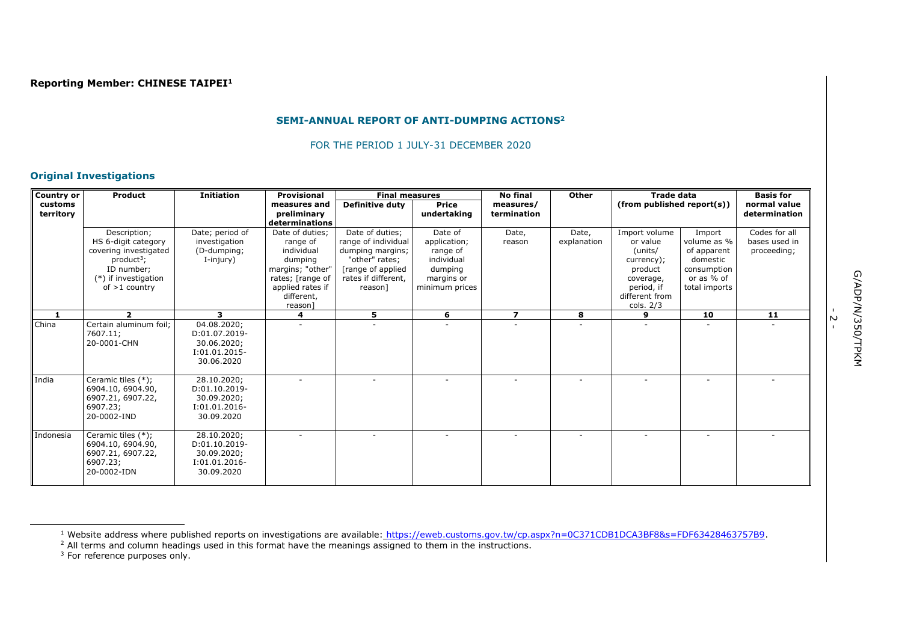#### **SEMI-ANNUAL REPORT OF ANTI-DUMPING ACTIONS<sup>2</sup>**

FOR THE PERIOD 1 JULY-31 DECEMBER 2020

## **Original Investigations**

| <b>Country or</b>    | <b>Product</b>                                                                                                                           | <b>Initiation</b>                                                            | <b>Provisional</b>                                                                                               | <b>Final measures</b>                                                                                                                |                                                                                              | <b>No final</b>          | Other                    | <b>Trade data</b>                                                                        |                                                                                                | <b>Basis for</b>                              |
|----------------------|------------------------------------------------------------------------------------------------------------------------------------------|------------------------------------------------------------------------------|------------------------------------------------------------------------------------------------------------------|--------------------------------------------------------------------------------------------------------------------------------------|----------------------------------------------------------------------------------------------|--------------------------|--------------------------|------------------------------------------------------------------------------------------|------------------------------------------------------------------------------------------------|-----------------------------------------------|
| customs<br>territory |                                                                                                                                          |                                                                              | measures and<br>preliminary                                                                                      | <b>Definitive duty</b>                                                                                                               | <b>Price</b><br>undertaking                                                                  | measures/<br>termination |                          | (from published report(s))                                                               |                                                                                                | normal value<br>determination                 |
|                      |                                                                                                                                          |                                                                              | determinations                                                                                                   |                                                                                                                                      |                                                                                              |                          |                          |                                                                                          |                                                                                                |                                               |
|                      | Description;<br>HS 6-digit category<br>covering investigated<br>$product^3$ ;<br>ID number:<br>$(*)$ if investigation<br>of $>1$ country | Date; period of<br>investigation<br>(D-dumping;<br>I-injury)                 | Date of duties:<br>range of<br>individual<br>dumping<br>margins; "other"<br>rates; [range of<br>applied rates if | Date of duties;<br>range of individual<br>dumping margins;<br>"other" rates;<br>[range of applied]<br>rates if different,<br>reason] | Date of<br>application;<br>range of<br>individual<br>dumping<br>margins or<br>minimum prices | Date,<br>reason          | Date,<br>explanation     | Import volume<br>or value<br>(units/<br>currency);<br>product<br>coverage,<br>period, if | Import<br>volume as %<br>of apparent<br>domestic<br>consumption<br>or as % of<br>total imports | Codes for all<br>bases used in<br>proceeding; |
|                      |                                                                                                                                          |                                                                              | different,<br>reason                                                                                             |                                                                                                                                      |                                                                                              |                          |                          | different from<br>cols. $2/3$                                                            |                                                                                                |                                               |
| 1                    | $\overline{\mathbf{2}}$                                                                                                                  | 3                                                                            | 4                                                                                                                | 5                                                                                                                                    | 6                                                                                            | $\overline{\mathbf{z}}$  | 8                        | 9                                                                                        | 10                                                                                             | 11                                            |
| China                | Certain aluminum foil;<br>7607.11;<br>20-0001-CHN                                                                                        | 04.08.2020;<br>D:01.07.2019-<br>30.06.2020;<br>$I:01.01.2015-$<br>30.06.2020 |                                                                                                                  |                                                                                                                                      |                                                                                              |                          |                          |                                                                                          |                                                                                                |                                               |
| India                | Ceramic tiles (*);<br>6904.10, 6904.90,<br>6907.21, 6907.22,<br>6907.23;<br>20-0002-IND                                                  | 28.10.2020;<br>D:01.10.2019-<br>30.09.2020;<br>$I:01.01.2016-$<br>30.09.2020 |                                                                                                                  |                                                                                                                                      | $\sim$                                                                                       | $\sim$                   | $\overline{\phantom{a}}$ |                                                                                          | ٠                                                                                              |                                               |
| Indonesia            | Ceramic tiles (*);<br>6904.10, 6904.90,<br>6907.21, 6907.22,<br>6907.23;<br>20-0002-IDN                                                  | 28.10.2020;<br>D:01.10.2019-<br>30.09.2020;<br>$I:01.01.2016-$<br>30.09.2020 |                                                                                                                  |                                                                                                                                      |                                                                                              |                          |                          |                                                                                          |                                                                                                |                                               |

ب<br>-

<sup>&</sup>lt;sup>1</sup> Website address where published reports on investigations are available: [https://eweb.customs.gov.tw/cp.aspx?n=0C371CDB1DCA3BF8&s=FDF63428463757B9.](https://eweb.customs.gov.tw/cp.aspx?n=0C371CDB1DCA3BF8&s=FDF63428463757B9)

 $<sup>2</sup>$  All terms and column headings used in this format have the meanings assigned to them in the instructions.</sup>

 $3$  For reference purposes only.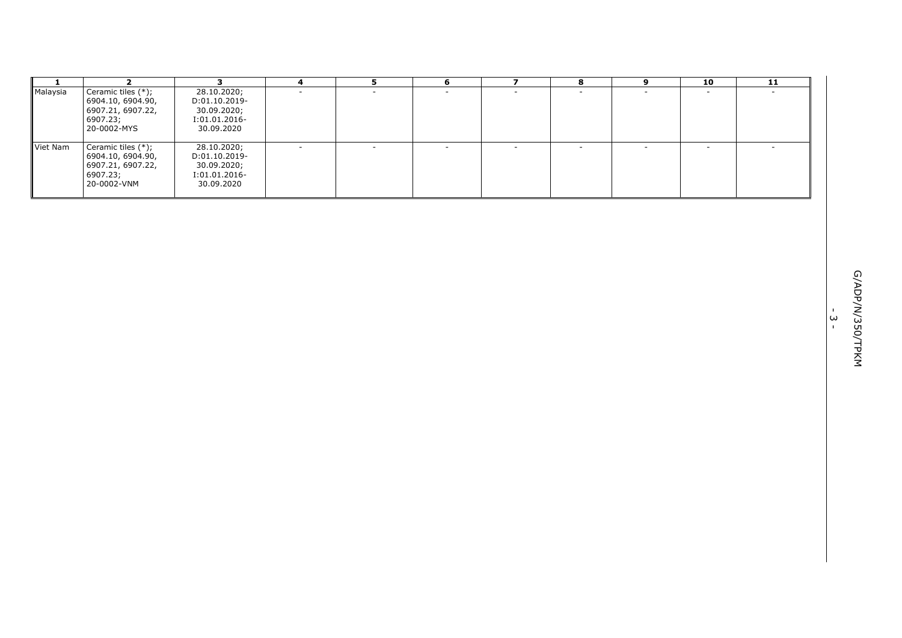| -1       | $\overline{2}$                                                                          | $\mathbf{3}$                                                               | 4                        | 5                        | 6      | $\overline{\mathbf{z}}$  | 8                        | 9                        | 10     | 11                       |                                                                                    |
|----------|-----------------------------------------------------------------------------------------|----------------------------------------------------------------------------|--------------------------|--------------------------|--------|--------------------------|--------------------------|--------------------------|--------|--------------------------|------------------------------------------------------------------------------------|
| Malaysia | Ceramic tiles (*);<br>6904.10, 6904.90,<br>6907.21, 6907.22,<br>6907.23;<br>20-0002-MYS | 28.10.2020;<br>D:01.10.2019-<br>30.09.2020;<br>I:01.01.2016-<br>30.09.2020 | $\sim$                   | $\sim$                   | $\sim$ | $\sim$                   | $\sim$                   | $\sim$                   | $\sim$ | $\overline{\phantom{a}}$ |                                                                                    |
| Viet Nam | Ceramic tiles (*);<br>6904.10, 6904.90,<br>6907.21, 6907.22,<br>6907.23;<br>20-0002-VNM | 28.10.2020;<br>D:01.10.2019-<br>30.09.2020;<br>I:01.01.2016-<br>30.09.2020 | $\overline{\phantom{a}}$ | $\overline{\phantom{a}}$ |        | $\overline{\phantom{a}}$ | $\overline{\phantom{a}}$ | $\overline{\phantom{a}}$ |        |                          |                                                                                    |
|          |                                                                                         |                                                                            |                          |                          |        |                          |                          |                          |        |                          |                                                                                    |
|          |                                                                                         |                                                                            |                          |                          |        |                          |                          |                          |        |                          |                                                                                    |
|          |                                                                                         |                                                                            |                          |                          |        |                          |                          |                          |        |                          | G/ADP/N/350/TPKM<br>$\mathbf{L}_{\rm{c}}$<br>$\boldsymbol{\omega}$<br>$\mathbf{L}$ |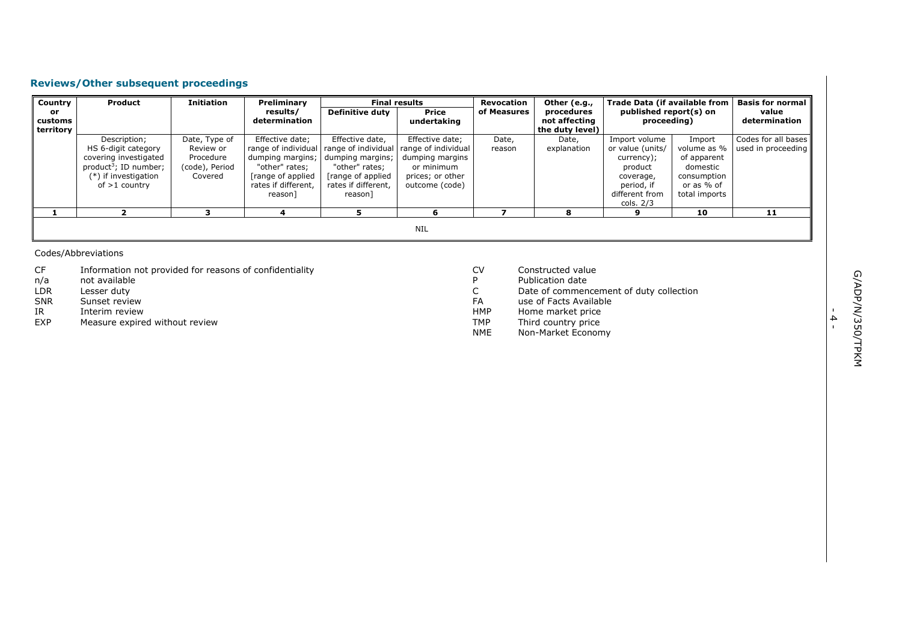## **Reviews/Other subsequent proceedings**

| Country   | <b>Product</b>           | <b>Initiation</b> | Preliminary         |                                           | <b>Final results</b> | Revocation  | Other (e.g.,    | <b>Trade Data (if available from</b> |               | Basis for normal II |
|-----------|--------------------------|-------------------|---------------------|-------------------------------------------|----------------------|-------------|-----------------|--------------------------------------|---------------|---------------------|
| or        |                          |                   | results/            | <b>Definitive duty</b>                    | Price                | of Measures | procedures      | published report(s) on               |               | value               |
| customs   |                          |                   | determination       |                                           | undertaking          |             | not affecting   | proceeding)                          |               | determination       |
| territory |                          |                   |                     |                                           |                      |             | the duty level) |                                      |               |                     |
|           | Description;             | Date, Type of     | Effective date;     | Effective date,                           | Effective date;      | Date,       | Date,           | Import volume                        | Import        | Codes for all bases |
|           | HS 6-digit category      | Review or         |                     | range of individual   range of individual | range of individual  | reason      | explanation     | or value (units/                     | volume as %   | used in proceeding  |
|           | covering investigated    | Procedure         | dumping margins;    | dumping margins;                          | dumping margins      |             |                 | currency);                           | of apparent   |                     |
|           | $product^3$ ; ID number; | (code), Period    | "other" rates:      | "other" rates:                            | or minimum           |             |                 | product                              | domestic      |                     |
|           | (*) if investigation     | Covered           | [range of applied]  | [range of applied]                        | prices; or other     |             |                 | coverage,                            | consumption   |                     |
|           | of $>1$ country          |                   | rates if different. | rates if different,                       | outcome (code)       |             |                 | period, if                           | or as % of    |                     |
|           |                          |                   | reason]             | reason]                                   |                      |             |                 | different from                       | total imports |                     |
|           |                          |                   |                     |                                           |                      |             |                 | cols. 2/3                            |               |                     |
|           |                          |                   |                     |                                           | h                    |             |                 | 9                                    | 10            | 11                  |
|           |                          |                   |                     |                                           |                      |             |                 |                                      |               |                     |
|           |                          |                   |                     |                                           | <b>NIL</b>           |             |                 |                                      |               |                     |
|           |                          |                   |                     |                                           |                      |             |                 |                                      |               |                     |

Codes/Abbreviations

- CF Information not provided for reasons of confidentiality<br>
n/a ont available
- n/a not available<br>LDR Lesser duty
- LDR Lesser duty<br>SNR Sunset revie
- SNR Sunset review<br>IR Interim review
- IR Interim review<br>EXP Measure expire
- Measure expired without review
- CV Constructed value<br>
P Publication date
- P Publication date<br>C Date of commend
- C Date of commencement of duty collection<br>FA use of Facts Available
- FA use of Facts Available<br>HMP Home market price
- HMP Home market price<br>TMP Third country price
- TMP Third country price
- NME Non-Market Economy

- 4 -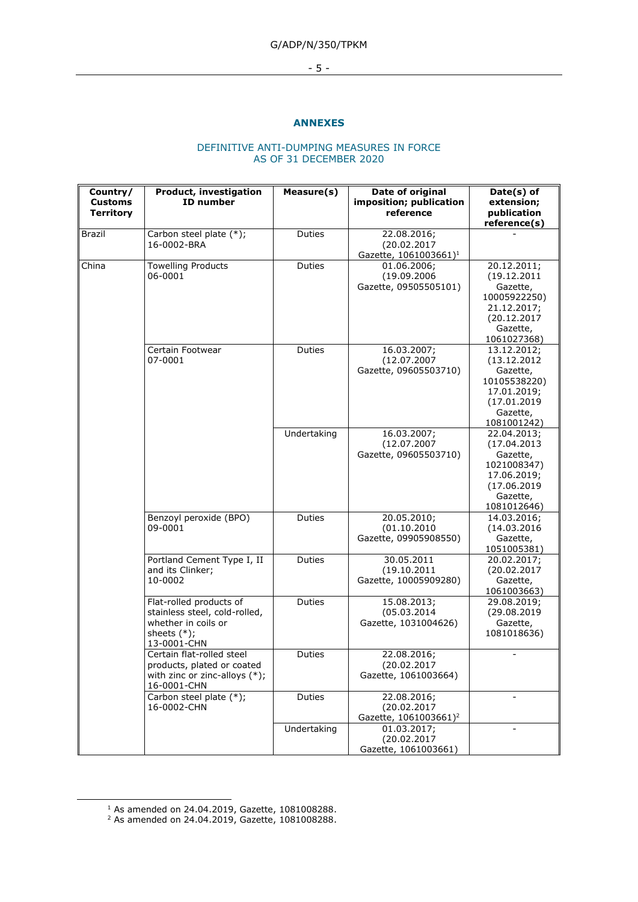# G/ADP/N/350/TPKM

- 5 -

## **ANNEXES**

#### DEFINITIVE ANTI-DUMPING MEASURES IN FORCE AS OF 31 DECEMBER 2020

| Country/<br><b>Customs</b><br><b>Territory</b> | <b>Product, investigation</b><br>ID number                                                                       | Measure(s)    | Date of original<br>imposition; publication<br>reference        | Date(s) of<br>extension;<br>publication<br>reference(s)                                                          |
|------------------------------------------------|------------------------------------------------------------------------------------------------------------------|---------------|-----------------------------------------------------------------|------------------------------------------------------------------------------------------------------------------|
| <b>Brazil</b>                                  | Carbon steel plate (*);<br>16-0002-BRA                                                                           | <b>Duties</b> | 22.08.2016;<br>(20.02.2017<br>Gazette, 1061003661) <sup>1</sup> |                                                                                                                  |
| China                                          | Towelling Products<br>06-0001                                                                                    | Duties        | 01.06.2006;<br>(19.09.2006<br>Gazette, 09505505101)             | 20.12.2011;<br>(19.12.2011<br>Gazette,<br>10005922250)<br>21.12.2017;<br>(20.12.2017<br>Gazette,<br>1061027368)  |
|                                                | Certain Footwear<br>07-0001                                                                                      | Duties        | 16.03.2007;<br>(12.07.2007<br>Gazette, 09605503710)             | 13.12.2012;<br>(13.12.2012)<br>Gazette,<br>10105538220)<br>17.01.2019;<br>(17.01.2019<br>Gazette,<br>1081001242) |
|                                                |                                                                                                                  | Undertaking   | 16.03.2007;<br>(12.07.2007<br>Gazette, 09605503710)             | 22.04.2013;<br>(17.04.2013)<br>Gazette,<br>1021008347)<br>17.06.2019;<br>(17.06.2019<br>Gazette,<br>1081012646)  |
|                                                | Benzoyl peroxide (BPO)<br>09-0001                                                                                | Duties        | 20.05.2010;<br>(01.10.2010<br>Gazette, 09905908550)             | 14.03.2016;<br>(14.03.2016<br>Gazette,<br>1051005381)                                                            |
|                                                | Portland Cement Type I, II<br>and its Clinker;<br>10-0002                                                        | Duties        | 30.05.2011<br>(19.10.2011<br>Gazette, 10005909280)              | 20.02.2017;<br>(20.02.2017<br>Gazette,<br>1061003663)                                                            |
|                                                | Flat-rolled products of<br>stainless steel, cold-rolled,<br>whether in coils or<br>sheets $(*)$ ;<br>13-0001-CHN | Duties        | 15.08.2013;<br>(05.03.2014)<br>Gazette, 1031004626)             | 29.08.2019;<br>(29.08.2019<br>Gazette,<br>1081018636)                                                            |
|                                                | Certain flat-rolled steel<br>products, plated or coated<br>with zinc or zinc-alloys (*);<br>16-0001-CHN          | Duties        | 22.08.2016;<br>(20.02.2017<br>Gazette, 1061003664)              |                                                                                                                  |
|                                                | Carbon steel plate (*);<br>16-0002-CHN                                                                           | <b>Duties</b> | 22.08.2016;<br>(20.02.2017<br>Gazette, 1061003661) <sup>2</sup> |                                                                                                                  |
|                                                |                                                                                                                  | Undertaking   | 01.03.2017;<br>(20.02.2017<br>Gazette, 1061003661)              |                                                                                                                  |

 $1$  As amended on 24.04.2019, Gazette, 1081008288.

 $2$  As amended on 24.04.2019, Gazette, 1081008288.